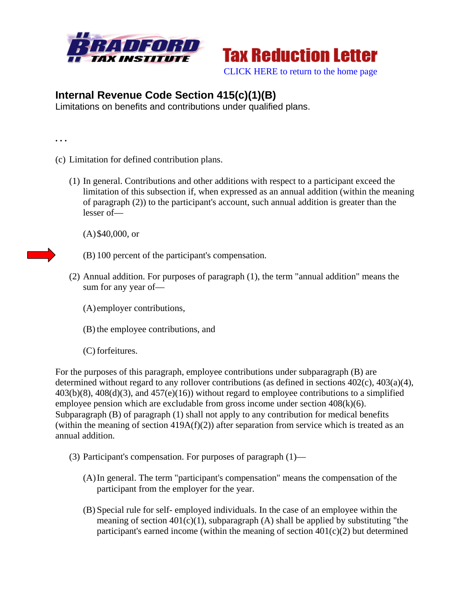



## **Internal Revenue Code Section 415(c)(1)(B)**

Limitations on benefits and contributions under qualified plans.

**. . .** 

- (c) Limitation for defined contribution plans.
	- (1) In general. Contributions and other additions with respect to a participant exceed the limitation of this subsection if, when expressed as an annual addition (within the meaning of paragraph (2)) to the participant's account, such annual addition is greater than the lesser of—

(A)\$40,000, or

- (B) 100 percent of the participant's compensation.
- (2) Annual addition. For purposes of paragraph (1), the term "annual addition" means the sum for any year of—
	- (A) employer contributions,
	- (B) the employee contributions, and
	- (C) forfeitures.

For the purposes of this paragraph, employee contributions under subparagraph (B) are determined without regard to any rollover contributions (as defined in sections 402(c), 403(a)(4),  $403(b)(8)$ ,  $408(d)(3)$ , and  $457(e)(16)$ ) without regard to employee contributions to a simplified employee pension which are excludable from gross income under section 408(k)(6). Subparagraph (B) of paragraph (1) shall not apply to any contribution for medical benefits (within the meaning of section  $419A(f)(2)$ ) after separation from service which is treated as an annual addition.

- (3) Participant's compensation. For purposes of paragraph (1)—
	- (A)In general. The term "participant's compensation" means the compensation of the participant from the employer for the year.
	- (B) Special rule for self- employed individuals. In the case of an employee within the meaning of section  $401(c)(1)$ , subparagraph (A) shall be applied by substituting "the participant's earned income (within the meaning of section  $401(c)(2)$  but determined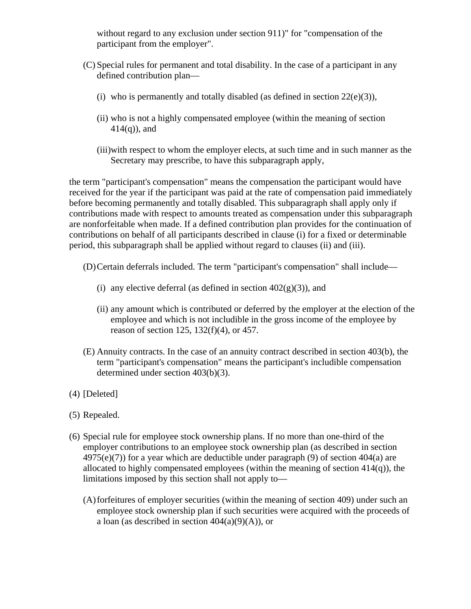without regard to any exclusion under section 911)" for "compensation of the participant from the employer".

- (C) Special rules for permanent and total disability. In the case of a participant in any defined contribution plan—
	- (i) who is permanently and totally disabled (as defined in section  $22(e)(3)$ ),
	- (ii) who is not a highly compensated employee (within the meaning of section  $414(q)$ , and
	- (iii)with respect to whom the employer elects, at such time and in such manner as the Secretary may prescribe, to have this subparagraph apply,

the term "participant's compensation" means the compensation the participant would have received for the year if the participant was paid at the rate of compensation paid immediately before becoming permanently and totally disabled. This subparagraph shall apply only if contributions made with respect to amounts treated as compensation under this subparagraph are nonforfeitable when made. If a defined contribution plan provides for the continuation of contributions on behalf of all participants described in clause (i) for a fixed or determinable period, this subparagraph shall be applied without regard to clauses (ii) and (iii).

- (D)Certain deferrals included. The term "participant's compensation" shall include—
	- (i) any elective deferral (as defined in section  $402(g)(3)$ ), and
	- (ii) any amount which is contributed or deferred by the employer at the election of the employee and which is not includible in the gross income of the employee by reason of section 125, 132(f)(4), or 457.
- (E) Annuity contracts. In the case of an annuity contract described in section 403(b), the term "participant's compensation" means the participant's includible compensation determined under section 403(b)(3).
- (4) [Deleted]
- (5) Repealed.
- (6) Special rule for employee stock ownership plans. If no more than one-third of the employer contributions to an employee stock ownership plan (as described in section  $4975(e)(7)$  for a year which are deductible under paragraph (9) of section  $404(a)$  are allocated to highly compensated employees (within the meaning of section  $414(q)$ ), the limitations imposed by this section shall not apply to—
	- (A)forfeitures of employer securities (within the meaning of section 409) under such an employee stock ownership plan if such securities were acquired with the proceeds of a loan (as described in section  $404(a)(9)(A)$ ), or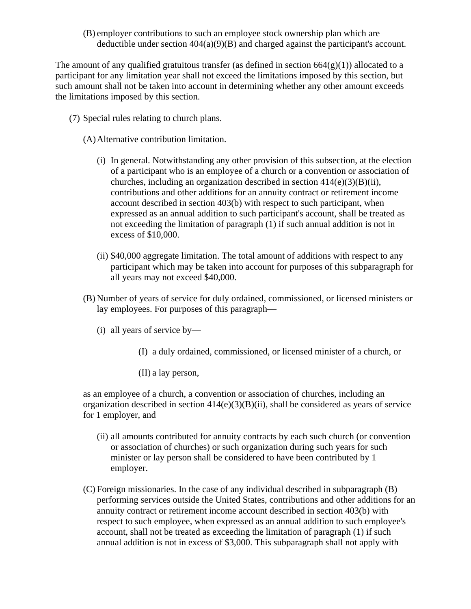(B) employer contributions to such an employee stock ownership plan which are deductible under section 404(a)(9)(B) and charged against the participant's account.

The amount of any qualified gratuitous transfer (as defined in section  $664(g)(1)$ ) allocated to a participant for any limitation year shall not exceed the limitations imposed by this section, but such amount shall not be taken into account in determining whether any other amount exceeds the limitations imposed by this section.

- (7) Special rules relating to church plans.
	- (A)Alternative contribution limitation.
		- (i) In general. Notwithstanding any other provision of this subsection, at the election of a participant who is an employee of a church or a convention or association of churches, including an organization described in section  $414(e)(3)(B)(ii)$ , contributions and other additions for an annuity contract or retirement income account described in section 403(b) with respect to such participant, when expressed as an annual addition to such participant's account, shall be treated as not exceeding the limitation of paragraph (1) if such annual addition is not in excess of \$10,000.
		- (ii) \$40,000 aggregate limitation. The total amount of additions with respect to any participant which may be taken into account for purposes of this subparagraph for all years may not exceed \$40,000.
	- (B) Number of years of service for duly ordained, commissioned, or licensed ministers or lay employees. For purposes of this paragraph—
		- (i) all years of service by—
			- (I) a duly ordained, commissioned, or licensed minister of a church, or
			- (II) a lay person,

as an employee of a church, a convention or association of churches, including an organization described in section  $414(e)(3)(B)(ii)$ , shall be considered as years of service for 1 employer, and

- (ii) all amounts contributed for annuity contracts by each such church (or convention or association of churches) or such organization during such years for such minister or lay person shall be considered to have been contributed by 1 employer.
- (C) Foreign missionaries. In the case of any individual described in subparagraph (B) performing services outside the United States, contributions and other additions for an annuity contract or retirement income account described in section 403(b) with respect to such employee, when expressed as an annual addition to such employee's account, shall not be treated as exceeding the limitation of paragraph (1) if such annual addition is not in excess of \$3,000. This subparagraph shall not apply with